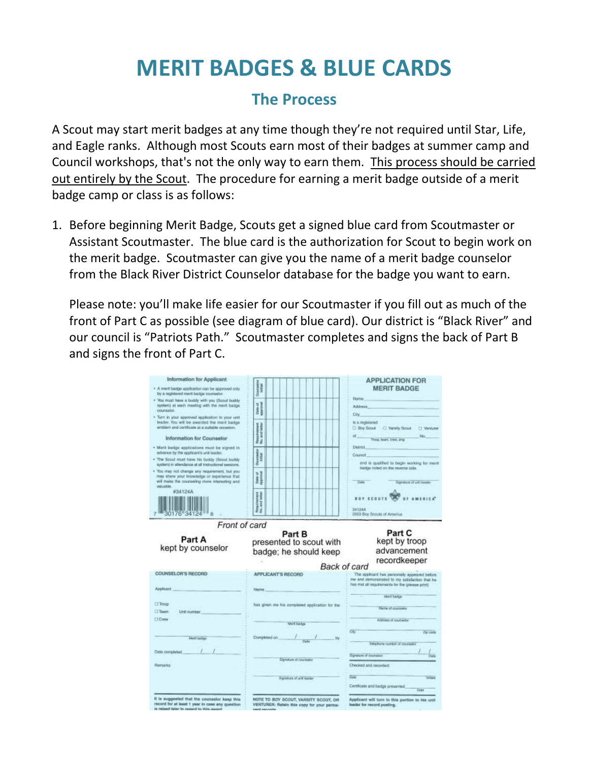## **MERIT BADGES & BLUE CARDS**

## **The Process**

A Scout may start merit badges at any time though they're not required until Star, Life, and Eagle ranks. Although most Scouts earn most of their badges at summer camp and Council workshops, that's not the only way to earn them. This process should be carried out entirely by the Scout. The procedure for earning a merit badge outside of a merit badge camp or class is as follows:

1. Before beginning Merit Badge, Scouts get a signed blue card from Scoutmaster or Assistant Scoutmaster. The blue card is the authorization for Scout to begin work on the merit badge. Scoutmaster can give you the name of a merit badge counselor from the Black River District Counselor database for the badge you want to earn.

Please note: you'll make life easier for our Scoutmaster if you fill out as much of the front of Part C as possible (see diagram of blue card). Our district is "Black River" and our council is "Patriots Path." Scoutmaster completes and signs the back of Part B and signs the front of Part C.

| Information for Applicant<br>· A merit badge application can be approved only<br>by a registered ment badge counselor.                                                                           | Courses                                          | <b>APPLICATION FOR</b><br><b>MERIT BADGE</b>                                                                                                                      |
|--------------------------------------------------------------------------------------------------------------------------------------------------------------------------------------------------|--------------------------------------------------|-------------------------------------------------------------------------------------------------------------------------------------------------------------------|
| . You must have a buddy with you (Scout buddy<br>system) at each meeting with the merit badge<br>counsalor.                                                                                      | Date of                                          | Name:<br><b>Arkinsas</b>                                                                                                                                          |
| * Turn in your approved application to your anit<br>leader. You will be awarded the ment badge.<br>emblem and certificate at a autable popaiton.                                                 |                                                  | City<br>banesigen a al<br><b>El Boy Scout C Versity Scout</b><br>U Venturer                                                                                       |
| Information for Counselor                                                                                                                                                                        | Requirement<br>No. and letter                    | No.<br>Troop, faunt, crew, ship.                                                                                                                                  |
| · Mirrit badge applications must be signed in<br>advance by the applicant's unit leader.<br>. The Scout must have his buddy (Boout buddy<br>system) in attendance at all instructional sessions. | Ocurrencies<br>William                           | <b>District</b><br>Council <sup>1</sup><br>and is qualified to begin working for ment                                                                             |
| . You may not change any requirement, but you<br>may share your knowledge or coperience that<br>will make the counseling more interesting and<br>velunble.                                       | Date of<br>Internal                              | badge noted on the reverse side.<br>Date<br>Signature of unit leader                                                                                              |
| #34124A<br>10176 34124                                                                                                                                                                           | Responsest<br>No. and isting                     | <b>BOY SCOUTS</b><br>34124A<br>2003 Boy Scouts of America.                                                                                                        |
| Front of card<br>Part A                                                                                                                                                                          | Part B                                           | Part C<br>kept by troop                                                                                                                                           |
| kept by counselor                                                                                                                                                                                | presented to scout with<br>badge; he should keep | advancement<br>recordkeeper                                                                                                                                       |
| COUNSELOR'S RECORD                                                                                                                                                                               | <b>APPLICANT'S RECORD</b>                        | Back of card<br>The applicant has personally appeared belore<br>me and demonstrated to my satisfaction that he<br>has met all requirements for the (please print) |
| Applicant                                                                                                                                                                                        | Name                                             | Moril Sadow                                                                                                                                                       |
| Unit number                                                                                                                                                                                      | has given me his completed application for the   | Name of counselor                                                                                                                                                 |
|                                                                                                                                                                                                  | Marit backup                                     | Address of courselor                                                                                                                                              |
| <b>Thoop</b><br>[] Team<br><b>Crew</b><br>Meet bailigo                                                                                                                                           | Completed on $1 -$                               | CK7<br>Zip code                                                                                                                                                   |
|                                                                                                                                                                                                  |                                                  | lakephone number of counselor<br>Signature of counselor                                                                                                           |
| Date completed<br><b>Remarks</b>                                                                                                                                                                 | Signature of counsalor                           | Checked and recorded:                                                                                                                                             |